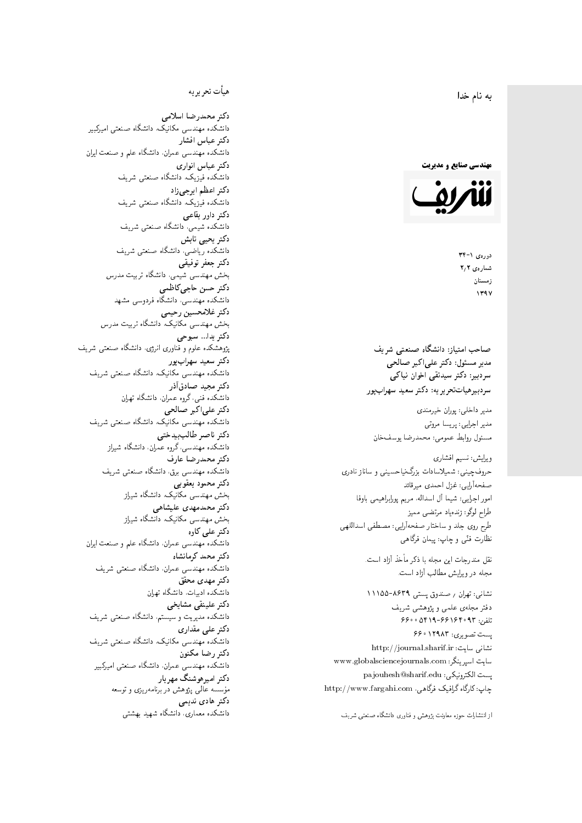$\overline{\phantom{a}}$ ز<br>ن به نام خدا .<br>.

**مهندسی صنایع و مدیریت** 



دورەي ١-٣۴ شمارەي ٢٫٢ زمستان 1397

مدیر مسئول: دکتر علیاکبر صالحی  $\mathfrak{c}$ سردېيرهياتتحر ير يه: دکتر سعيد سهرابپور سردبیر: دکتر سیدتقی اخوان نیاکی

مدير داخلى: پوران خيرمندى<br>. مدير اجرايي: پريسا مروتي<br>. مسئول روابط عمومی: محمدرضا يوسفخان<br>.

ویرایش: نسیم افشاری<br>. حروفچینی: شمیلاسادات بزرگiیاحسینی و ساناز نادری صفحهآرایی: غزل احمدی میرقائد<br>امور اجرایی: شیما آل اسداله، مریم یورابراهیمی باوفا طراح لوگو: زندهیاد مرتضمی ممیز<br>ا طرح روى جلد و ساختار صفحه[رایی: مصطفى اسداللهی<br>بنالمستقد نظارت فٽ<sub>ی</sub> و چاپ: پيمان فرگاه<sub>ی</sub><br>.

نقل مندرجات این مجله با ذکر مأخذ آزاد است.<br>محله در و راش مطالب آزاد است.

نشانی: تهران / حسندوق پستی ۸۶۳۹-۱۱۱۵۵ دفتر مجلهى علمى و پژوهشى شريف 5600 0419-991940 % 073 پست تصویری: ۱۲۹۸۳ ۶۶۰ نشانی سایت: http://journal.sharif.ir<br>ء سایت اسپرینگر: www.globalsciencejournals.com<br>افکار کافی کے مطابق کافیل کے مطابق کافیل کے مطابق کافیل کے مطابق کافیل کرنا pajouhesh@sharif.edu :يست الكترونيكي:  ${\rm http://www.fargahi.com}$  خارگاه گرافیک فرگاهی، صماحب امتياز: دانشگاه صنعتى شريف<br>صدر سينوان : دكتر على اكبر صمالحى<br>مدير سينوان : دكتر سيدالفى اخراق المعالمى<br>سينوا : دكتر سيدالفى المعالمي المعالمي المعالمي المعالمي المعالمي المعالمي المعالمي المعالمي المعالمي المعالمي<br>م

## هيأت تحريريه

دكتر محمدرضا اسلامى مکانیک، دانشگاه صنعتی امیرکبیر<br>. دكتر عباس افشار دانشکده مهندسی عمران، دانشگاه علم و صنعت ایران<br>بحمد مصلحات دكتر عباس انوارى دانشکده فیزیک، دانشگاه صنعتبی شریف<br>محمد استانسا دکتر اعظم ايرج<mark>ي</mark> زاد ، دانشگاه صنعتبی شریف<br>. دکتر داور بقاع**ی** دانشکده شیمی، دانشگاه صنعتی شریف<br>دکتر یحیی تابش دانشکده ریاضی، دانشگاه صنعتی شریف<br>برمسمنستانستان دكتر جعفر توفيقي بخش مهندسی شیمی، دانشگاه تربیت مدرس<br>سم دكتر حسن حاجىكاظمي دانشکده مهندسی، دانشگاه فردوسی مشهد<br>کستفلار م دكتر غلامحسين رحيمي هندسی مکانیک، دانشگاه تربیت مدرس<br>ا دکتر یدا... سبوحی یژوهشکده علوم و فناوری انرژی، دانشگاه صنعتی شریف دکتر سعید سهرابپور<br>دانشکده مهندسی مکانیک، دانشگاه صنعتی شریف دکتر مجيد صادقاذر ا<br>. دانشکده فنی، گروه عمران، دانشگاه تهران دکتر علیاکبر صالحی = دانشکده مهندسی مکانیک، دانشگاه صنعتی شریف<br>یکستا دکتر ناصر طالب بیدختی r  $\mathfrak{c}$ دانشکده مهندسی، گروه عمران، دانشگاه شیراز<br>مکتب مصدر مقبل علم دكتر محمدرضا عارف دانشکده مهندسی برق، دانشگاه صنعتی شریف<br><mark>دکتر محمود یعقوبی</mark> هندسی مکانیک، دانشگاه شیراز<br>مسدوده مصلوفیاه دکتر محمدمهدی علیشاهی بخش مهندسی مکانیک، دانشگاه شیراز<br>مکتبهای کابی دکتر علی کاوہ دانشکده مهندسی عمران، دانشگاه علم و صنعت ایران<br>بحت دکتر محمد کرمانشاه .<br>. دانشکده مهندسی عمران، دانشگاه صنعتی شریف<br>مکتبر دولت مستق دکتر مهد*ی* محقق دانشکده ادبیات، دانشگاه تهران دکتر علینقی مشایخ<u>ی</u> دانشکده مدیریت و سیستم، دانشگاه صنعتبی شریف<br>محمد باست دکتر علے<sub>،</sub> مقداری مکانیک، دانشگاه صنعتی شریف<br>. دكتر رضا مكنون دانشکده مهندسی عمران. دانشگاه صنعتی امیرکبیر<br>محمد است میگ دکتر امیرهوشنگ مهریار سه عالمی پژوهش در برنامهریزی و توسعه<br>۱۹ادم خار موسه<br>بر ءُ<br>ك دکتر هادی ندیمی  $\overline{a}$ م تشكل المسابق التي تتوقف المسابق المسابق المسابق المسابق المسابق المسابق المسابق المسابق المسابق المسابق المس<br>المسابق المسابق المسابق المسابق المسابق المسابق المسابق المسابق المسابق المسابق المسابق المسابق المسابق المساب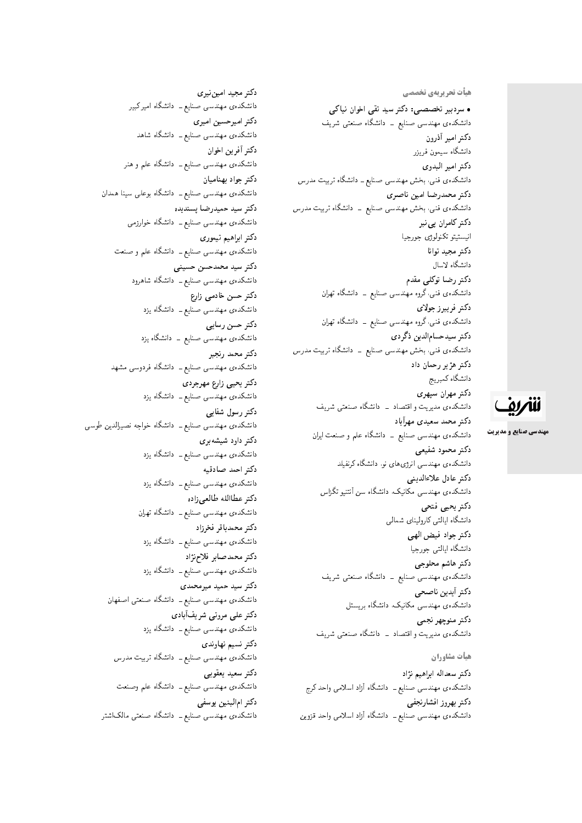هیأت تحریریهی تخصصی

• سردبیر تخصصی: دکتر سید تقی اخوان نیاکی دانشکدهی مهندسی صنایع ــ دانشگاه صنعتی شریف دكتر امير أذرون دانشگاه سیمون فریزر دكتر امير البدوي دانشکدهی فنی، بخش مهندسی صنایع ــ دانشگاه تربیت مدرس دكتر محمدرضا امين ناصري دانشکدهی فنی، بخش مهندسی صنایع ــ دانشگاه تربیت مدرس دکتر کامران پی نبر انيستيتو تكنولوژى جورجيا دكتر مجيد توانا دانشگاه لاسال دکتر رضا توکلی مقدم دانشکده،ی فنی،گروه مهندسی صنایع ــ دانشگاه تهران دكتر فريبرز جولاي دانشکدهی فنبی،گروه مهندسی صنایع ــ دانشگاه تهران دكتر سيدحسامالدين ذگردي دانشکدهی فنی، بخش مهندسی صنایع ــ دانشگاه تربیت مدرس دکتر هژ ير رحمان داد دانشگاه كمبريج دكتر مهران سپهري دانشکدهی مدیریت و اقتصاد \_ دانشگاه صنعتبی شریف دكتر محمد سعيدى مهرآباد دانشکدهی مهندسی صنایع ــ دانشگاه علم و صنعت ایران دكتر محمود شفيعي دانشکدهی مهندسی انرژی های نو. دانشگاه کرنفیلد دكتر عادل علاءالديني دانشکدهی مهندسی مکانیک، دانشگاه سن آنتنیو تگزاس دكتر يحيى فتحى دانشگاه ايالتي كاروليناي شمالي دكتر جواد فيض الهي دانشگاه ايالتي جورجيا دكتر هاشم محلوجي دانشکده، مهندسی صنایع ـــ دانشگاه صنعتی شریف دكتر أيدين ناصحى دانشکدهی مهندسی مکانیک، دانشگاه بریستل دكتر منوچهر نجمي دانشکدهی مدیریت و اقتصاد \_ دانشگاه صنعتبی شریف هيأت مشاوران

دكتر سعداله ابراهيم نژاد دانشکده، مهندسی صنایع ــ دانشگاه آزاد اسلامی واحد کرج دكتر بهروز افشارنجفي دانشکدهی مهندسی صنایع ـــ دانشگاه آزاد اسلامی واحد قزوین

دكتر مجيد اميننيري دانشکدهی مهندسی صنایع <mark>ـ دانشگاه امیر کبیر</mark> دكتر اميرحسين اميرى دانشکدهی مهندسی صنایع ــ دانشگاه شاهد دكتر أفرين اخوان دانشکدهی مهندسی صنایع ــ دانشگاه علم و هنر دكتر جواد بهناميان دانشکدهی مهندسی صنایع ــ دانشگاه بوعلمی سینا همدان دكتر سيد حميدرضا پسنديده دانشکدهی مهندسی صنایع ــ دانشگاه خوارزمی دكتر ابراهيم تيموري دانشکدهی مهندسی صنایع ــ دانشگاه علم و صنعت دكتر سيد محمدحسن حسينى دانشکده، مهندسی صنایع ــ دانشگاه شاهرود دکتر حسن خادمی زارع دانشکدهی مهندسی صنایع ــ دانشگاه یزد دكتر حسن رسايي دانشکدهی مهندسی صنایع \_ دانشگاه یزد دكتر محمد رنجبر دانشکده،ی مهندسی صنایع ــ دانشگاه فردوسی مشهد دكتر يحيى زارع مهرجردي دانشکدهی مهندسی صنایع ــ دانشگاه یزد دكتر رسول شفابي دانشکدهی مهندسی صنایع ــ دانشگاه خواجه نصیرالدین طوسی دکتر داود شیشه بری دانشکدهی مهندسی صنایع ــ دانشگاه یزد دكتر احمد صادقيه دانشکدهی مهندسی صنایع ــ دانشگاه یزد دكتر عطاالله طالعي زاده دانشکده، مهندسی صنایع ــ دانشگاه تهران دكتر محمدباقر فخرزاد دانشکدهی مهندسی صنایع ــ دانشگاه یزد دكتر محمدصابر فلاحزثاد دانشکدهی مهندسی صنایع ــ دانشگاه یزد دکتر سید حمید میرمحمدی دانشکدهی مهندسی صنایع ــ دانشگاه صنعتی اصفهان دكتر على مروتى شريفآبادى دانشکدهی مهندسی صنایع ــ دانشگاه یزد دكتر نسيم نهاوندى دانشکدهی مهندسی صنایع ــ دانشگاه تربیت مدرس دكتر سعيد يعقوبي دانشکده، مهندسی صنایع ــ دانشگاه علم وصنعت دكتر امالبنين يوسفى دانشکدهی مهندسی صنایع ــ دانشگاه صنعتی مالک\شتر

للمريق

**مهندسی صنایع و مدیریت**